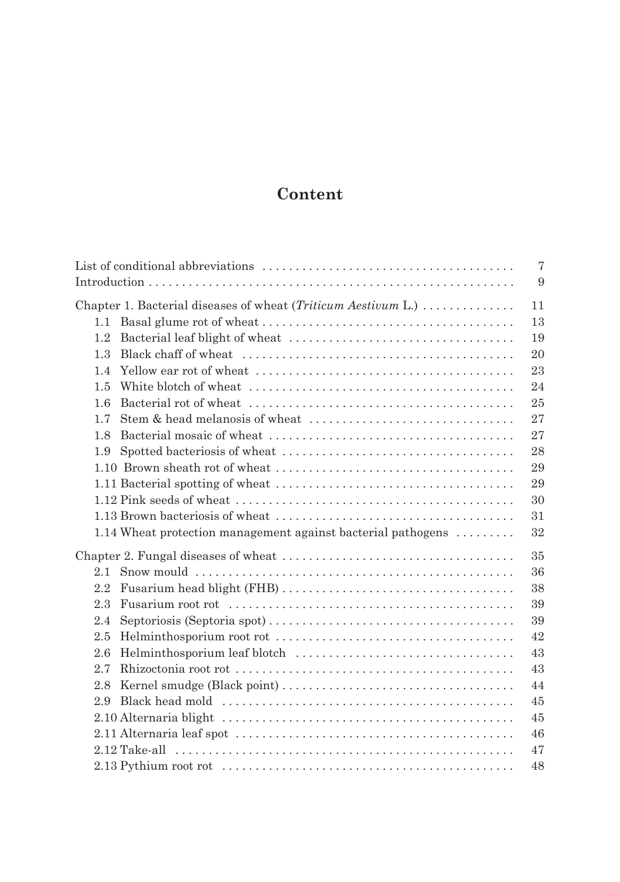## **Content**

|                                                               | $\overline{7}$ |
|---------------------------------------------------------------|----------------|
|                                                               | 9              |
| Chapter 1. Bacterial diseases of wheat (Triticum Aestivum L.) | 11             |
| 1.1                                                           | 13             |
| 1.2                                                           | 19             |
| 1.3                                                           | 20             |
| 1.4                                                           | 23             |
| 1.5                                                           | 24             |
| 1.6                                                           | 25             |
| 1.7                                                           | 27             |
| 1.8                                                           | 27             |
| 1.9                                                           | 28             |
|                                                               | 29             |
|                                                               | 29             |
|                                                               | 30             |
|                                                               | 31             |
| 1.14 Wheat protection management against bacterial pathogens  | 32             |
|                                                               | 35             |
| 2.1                                                           | 36             |
| $2.2\,$                                                       | 38             |
| 2.3                                                           | 39             |
| 2.4                                                           | 39             |
| 2.5                                                           | 42             |
| 2.6                                                           | 43             |
| 2.7                                                           | 43             |
| 2.8                                                           | 44             |
| 2.9                                                           | 45             |
|                                                               | 45             |
|                                                               | 46             |
|                                                               | 47             |
|                                                               | 48             |